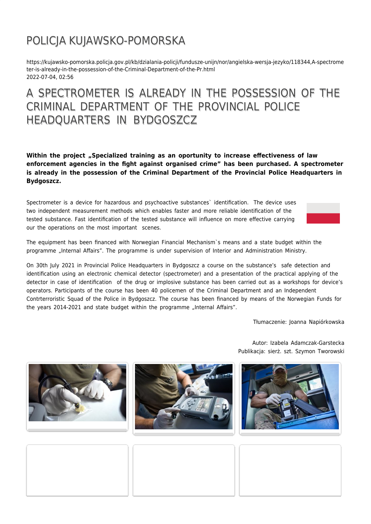## POLICJA KUJAWSKO-POMORSKA

https://kujawsko-pomorska.policja.gov.pl/kb/dzialania-policji/fundusze-unijn/nor/angielska-wersja-jezyko/118344,A-spectrome ter-is-already-in-the-possession-of-the-Criminal-Department-of-the-Pr.html 2022-07-04, 02:56

## A SPECTROMETER IS ALREADY IN THE POSSESSION OF THE CRIMINAL DEPARTMENT OF THE PROVINCIAL POLICE HEADQUARTERS IN BYDGOSZCZ

**Within the project "Specialized training as an oportunity to increase effectiveness of law enforcement agencies in the fight against organised crime" has been purchased. A spectrometer is already in the possession of the Criminal Department of the Provincial Police Headquarters in Bydgoszcz.**

Spectrometer is a device for hazardous and psychoactive substances` identification. The device uses two independent measurement methods which enables faster and more reliable identification of the tested substance. Fast identification of the tested substance will influence on more effective carrying our the operations on the most important scenes.



The equipment has been financed with Norwegian Financial Mechanism`s means and a state budget within the programme "Internal Affairs". The programme is under supervision of Interior and Administration Ministry.

On 30th July 2021 in Provincial Police Headquarters in Bydgoszcz a course on the substance's safe detection and identification using an electronic chemical detector (spectrometer) and a presentation of the practical applying of the detector in case of identification of the drug or implosive substance has been carried out as a workshops for device's operators. Participants of the course has been 40 policemen of the Criminal Department and an Independent Contrterroristic Squad of the Police in Bydgoszcz. The course has been financed by means of the Norwegian Funds for the years 2014-2021 and state budget within the programme "Internal Affairs".

Tłumaczenie: Joanna Napiórkowska





Autor: Izabela Adamczak-Garstecka Publikacja: sierż. szt. Szymon Tworowski